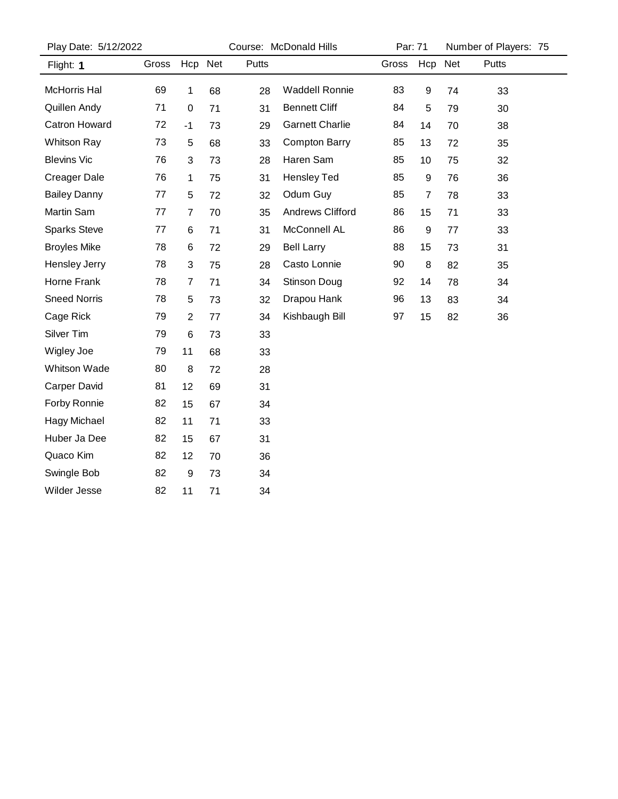| Play Date: 5/12/2022 |       |                  |         | Course: McDonald Hills |                         |       | Par: 71 |     | Number of Players: 75 |  |  |
|----------------------|-------|------------------|---------|------------------------|-------------------------|-------|---------|-----|-----------------------|--|--|
| Flight: 1            | Gross |                  | Hcp Net | Putts                  |                         | Gross | Hcp     | Net | Putts                 |  |  |
| McHorris Hal         | 69    | 1                | 68      | 28                     | <b>Waddell Ronnie</b>   | 83    | 9       | 74  | 33                    |  |  |
| Quillen Andy         | 71    | $\boldsymbol{0}$ | 71      | 31                     | <b>Bennett Cliff</b>    | 84    | 5       | 79  | 30                    |  |  |
| <b>Catron Howard</b> | 72    | $-1$             | 73      | 29                     | <b>Garnett Charlie</b>  | 84    | 14      | 70  | 38                    |  |  |
| <b>Whitson Ray</b>   | 73    | 5                | 68      | 33                     | <b>Compton Barry</b>    | 85    | 13      | 72  | 35                    |  |  |
| <b>Blevins Vic</b>   | 76    | 3                | 73      | 28                     | Haren Sam               | 85    | 10      | 75  | 32                    |  |  |
| <b>Creager Dale</b>  | 76    | $\mathbf 1$      | 75      | 31                     | <b>Hensley Ted</b>      | 85    | 9       | 76  | 36                    |  |  |
| <b>Bailey Danny</b>  | 77    | 5                | 72      | 32                     | Odum Guy                | 85    | 7       | 78  | 33                    |  |  |
| Martin Sam           | 77    | $\overline{7}$   | 70      | 35                     | <b>Andrews Clifford</b> | 86    | 15      | 71  | 33                    |  |  |
| <b>Sparks Steve</b>  | 77    | 6                | 71      | 31                     | McConnell AL            | 86    | 9       | 77  | 33                    |  |  |
| <b>Broyles Mike</b>  | 78    | 6                | 72      | 29                     | <b>Bell Larry</b>       | 88    | 15      | 73  | 31                    |  |  |
| <b>Hensley Jerry</b> | 78    | 3                | 75      | 28                     | Casto Lonnie            | 90    | 8       | 82  | 35                    |  |  |
| Horne Frank          | 78    | $\overline{7}$   | 71      | 34                     | Stinson Doug            | 92    | 14      | 78  | 34                    |  |  |
| <b>Sneed Norris</b>  | 78    | 5                | 73      | 32                     | Drapou Hank             | 96    | 13      | 83  | 34                    |  |  |
| Cage Rick            | 79    | $\overline{2}$   | 77      | 34                     | Kishbaugh Bill          | 97    | 15      | 82  | 36                    |  |  |
| Silver Tim           | 79    | 6                | 73      | 33                     |                         |       |         |     |                       |  |  |
| Wigley Joe           | 79    | 11               | 68      | 33                     |                         |       |         |     |                       |  |  |
| <b>Whitson Wade</b>  | 80    | 8                | 72      | 28                     |                         |       |         |     |                       |  |  |
| <b>Carper David</b>  | 81    | 12               | 69      | 31                     |                         |       |         |     |                       |  |  |
| Forby Ronnie         | 82    | 15               | 67      | 34                     |                         |       |         |     |                       |  |  |
| Hagy Michael         | 82    | 11               | 71      | 33                     |                         |       |         |     |                       |  |  |
| Huber Ja Dee         | 82    | 15               | 67      | 31                     |                         |       |         |     |                       |  |  |
| Quaco Kim            | 82    | 12               | 70      | 36                     |                         |       |         |     |                       |  |  |
| Swingle Bob          | 82    | $\boldsymbol{9}$ | 73      | 34                     |                         |       |         |     |                       |  |  |
| <b>Wilder Jesse</b>  | 82    | 11               | 71      | 34                     |                         |       |         |     |                       |  |  |